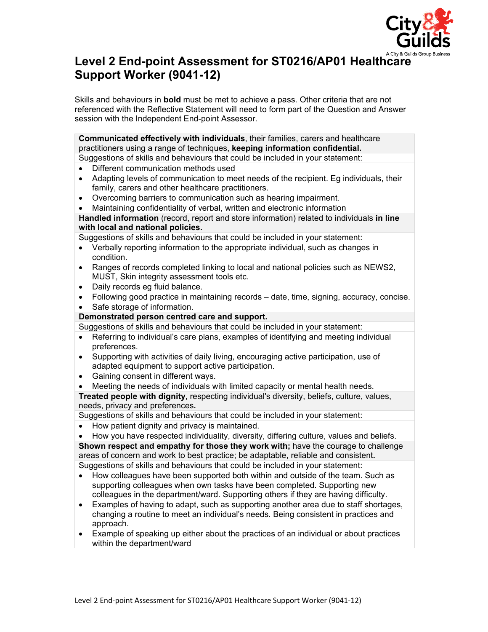

# **Level 2 End-point Assessment for ST0216/AP01 Healthcare Support Worker (9041-12)**

Skills and behaviours in **bold** must be met to achieve a pass. Other criteria that are not referenced with the Reflective Statement will need to form part of the Question and Answer session with the Independent End-point Assessor.

**Communicated effectively with individuals**, their families, carers and healthcare practitioners using a range of techniques, **keeping information confidential.**

- Suggestions of skills and behaviours that could be included in your statement:
- Different communication methods used
- Adapting levels of communication to meet needs of the recipient. Eg individuals, their family, carers and other healthcare practitioners.
- Overcoming barriers to communication such as hearing impairment.
- Maintaining confidentiality of verbal, written and electronic information

**Handled information** (record, report and store information) related to individuals **in line with local and national policies.**

Suggestions of skills and behaviours that could be included in your statement:

- Verbally reporting information to the appropriate individual, such as changes in condition.
- Ranges of records completed linking to local and national policies such as NEWS2, MUST, Skin integrity assessment tools etc.
- Daily records eg fluid balance.
- Following good practice in maintaining records date, time, signing, accuracy, concise.
- Safe storage of information.

## **Demonstrated person centred care and support.**

Suggestions of skills and behaviours that could be included in your statement:

- Referring to individual's care plans, examples of identifying and meeting individual preferences.
- Supporting with activities of daily living, encouraging active participation, use of adapted equipment to support active participation.
- Gaining consent in different ways.
- Meeting the needs of individuals with limited capacity or mental health needs.

**Treated people with dignity**, respecting individual's diversity, beliefs, culture, values, needs, privacy and preferences**.**

Suggestions of skills and behaviours that could be included in your statement:

- How patient dignity and privacy is maintained.
- How you have respected individuality, diversity, differing culture, values and beliefs.

**Shown respect and empathy for those they work with;** have the courage to challenge areas of concern and work to best practice; be adaptable, reliable and consistent**.** Suggestions of skills and behaviours that could be included in your statement:

- How colleagues have been supported both within and outside of the team. Such as supporting colleagues when own tasks have been completed. Supporting new colleagues in the department/ward. Supporting others if they are having difficulty.
- Examples of having to adapt, such as supporting another area due to staff shortages, changing a routine to meet an individual's needs. Being consistent in practices and approach.
- Example of speaking up either about the practices of an individual or about practices within the department/ward